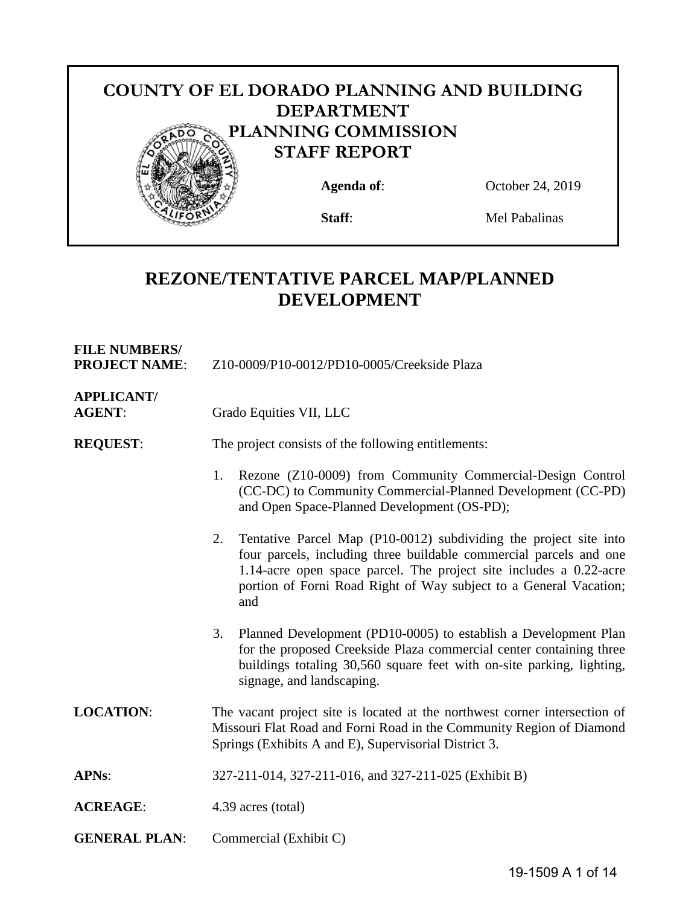

# **REZONE/TENTATIVE PARCEL MAP/PLANNED DEVELOPMENT**

| <b>FILE NUMBERS/</b><br><b>PROJECT NAME:</b> | Z10-0009/P10-0012/PD10-0005/Creekside Plaza                                                                                                                                                                                                                                                     |  |
|----------------------------------------------|-------------------------------------------------------------------------------------------------------------------------------------------------------------------------------------------------------------------------------------------------------------------------------------------------|--|
| <b>APPLICANT/</b><br><b>AGENT:</b>           | Grado Equities VII, LLC                                                                                                                                                                                                                                                                         |  |
| <b>REQUEST:</b>                              | The project consists of the following entitlements:                                                                                                                                                                                                                                             |  |
|                                              | Rezone (Z10-0009) from Community Commercial-Design Control<br>1.<br>(CC-DC) to Community Commercial-Planned Development (CC-PD)<br>and Open Space-Planned Development (OS-PD);                                                                                                                  |  |
|                                              | Tentative Parcel Map (P10-0012) subdividing the project site into<br>2.<br>four parcels, including three buildable commercial parcels and one<br>1.14-acre open space parcel. The project site includes a 0.22-acre<br>portion of Forni Road Right of Way subject to a General Vacation;<br>and |  |
|                                              | Planned Development (PD10-0005) to establish a Development Plan<br>3.<br>for the proposed Creekside Plaza commercial center containing three<br>buildings totaling 30,560 square feet with on-site parking, lighting,<br>signage, and landscaping.                                              |  |
| <b>LOCATION:</b>                             | The vacant project site is located at the northwest corner intersection of<br>Missouri Flat Road and Forni Road in the Community Region of Diamond<br>Springs (Exhibits A and E), Supervisorial District 3.                                                                                     |  |
| <b>APNs:</b>                                 | 327-211-014, 327-211-016, and 327-211-025 (Exhibit B)                                                                                                                                                                                                                                           |  |
| <b>ACREAGE:</b>                              | 4.39 acres (total)                                                                                                                                                                                                                                                                              |  |
| <b>GENERAL PLAN:</b>                         | Commercial (Exhibit C)                                                                                                                                                                                                                                                                          |  |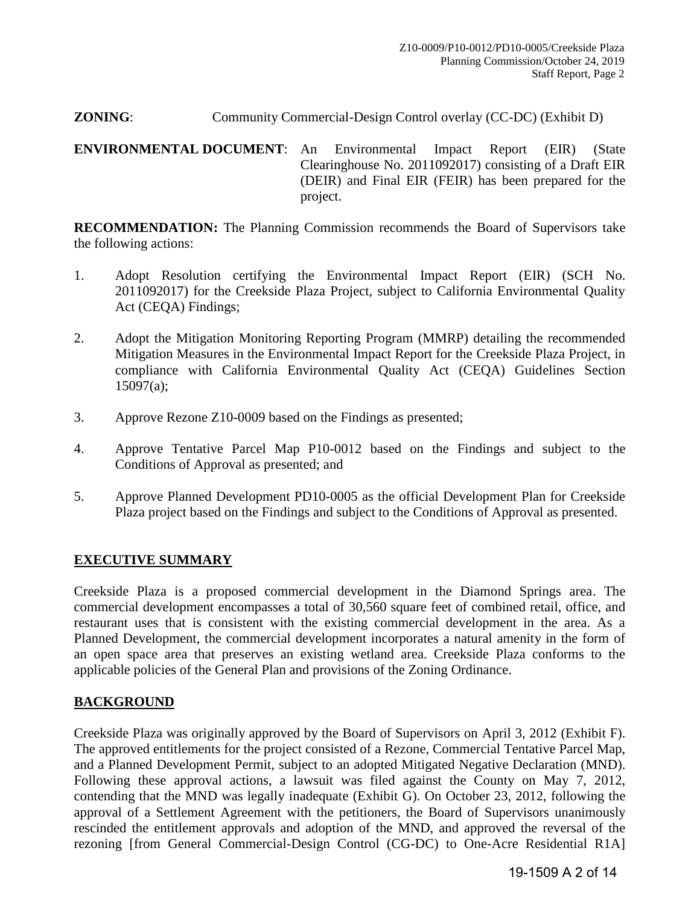#### **ZONING**: Community Commercial-Design Control overlay (CC-DC) (Exhibit D)

<span id="page-1-0"></span>**[ENVIRONMENTAL DOCUMENT](#page-1-0)**: An Environmental Impact Report (EIR) (State Clearinghouse No. 2011092017) consisting of a Draft EIR (DEIR) and Final EIR (FEIR) has been prepared for the project.

**RECOMMENDATION:** The Planning Commission recommends the Board of Supervisors take the following actions:

- 1. Adopt Resolution certifying the Environmental Impact Report (EIR) (SCH No. 2011092017) for the Creekside Plaza Project, subject to California Environmental Quality Act (CEQA) Findings;
- 2. Adopt the Mitigation Monitoring Reporting Program (MMRP) detailing the recommended Mitigation Measures in the Environmental Impact Report for the Creekside Plaza Project, in compliance with California Environmental Quality Act (CEQA) Guidelines Section 15097(a);
- 3. Approve Rezone Z10-0009 based on the Findings as presented;
- 4. Approve Tentative Parcel Map P10-0012 based on the Findings and subject to the Conditions of Approval as presented; and
- 5. Approve Planned Development PD10-0005 as the official Development Plan for Creekside Plaza project based on the Findings and subject to the Conditions of Approval as presented.

#### **EXECUTIVE SUMMARY**

Creekside Plaza is a proposed commercial development in the Diamond Springs area. The commercial development encompasses a total of 30,560 square feet of combined retail, office, and restaurant uses that is consistent with the existing commercial development in the area. As a Planned Development, the commercial development incorporates a natural amenity in the form of an open space area that preserves an existing wetland area. Creekside Plaza conforms to the applicable policies of the General Plan and provisions of the Zoning Ordinance.

## **BACKGROUND**

Creekside Plaza was originally approved by the Board of Supervisors on April 3, 2012 (Exhibit F). The approved entitlements for the project consisted of a Rezone, Commercial Tentative Parcel Map, and a Planned Development Permit, subject to an adopted Mitigated Negative Declaration (MND). Following these approval actions, a lawsuit was filed against the County on May 7, 2012, contending that the MND was legally inadequate (Exhibit G). On October 23, 2012, following the approval of a Settlement Agreement with the petitioners, the Board of Supervisors unanimously rescinded the entitlement approvals and adoption of the MND, and approved the reversal of the rezoning [from General Commercial-Design Control (CG-DC) to One-Acre Residential R1A]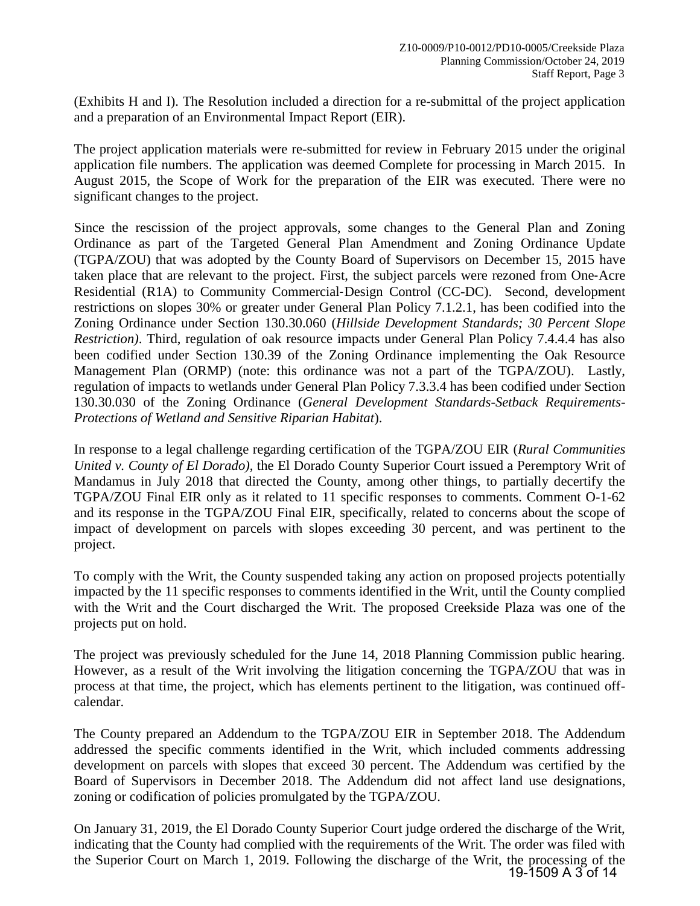(Exhibits H and I). The Resolution included a direction for a re-submittal of the project application and a preparation of an Environmental Impact Report (EIR).

The project application materials were re-submitted for review in February 2015 under the original application file numbers. The application was deemed Complete for processing in March 2015. In August 2015, the Scope of Work for the preparation of the EIR was executed. There were no significant changes to the project.

Since the rescission of the project approvals, some changes to the General Plan and Zoning Ordinance as part of the Targeted General Plan Amendment and Zoning Ordinance Update (TGPA/ZOU) that was adopted by the County Board of Supervisors on December 15, 2015 have taken place that are relevant to the project. First, the subject parcels were rezoned from One‐Acre Residential (R1A) to Community Commercial‐Design Control (CC-DC). Second, development restrictions on slopes 30% or greater under General Plan Policy 7.1.2.1, has been codified into the Zoning Ordinance under Section 130.30.060 (*Hillside Development Standards; 30 Percent Slope Restriction)*. Third, regulation of oak resource impacts under General Plan Policy 7.4.4.4 has also been codified under Section 130.39 of the Zoning Ordinance implementing the Oak Resource Management Plan (ORMP) (note: this ordinance was not a part of the TGPA/ZOU). Lastly, regulation of impacts to wetlands under General Plan Policy 7.3.3.4 has been codified under Section 130.30.030 of the Zoning Ordinance (*General Development Standards-Setback Requirements-Protections of Wetland and Sensitive Riparian Habitat*).

In response to a legal challenge regarding certification of the TGPA/ZOU EIR (*Rural Communities United v. County of El Dorado)*, the El Dorado County Superior Court issued a Peremptory Writ of Mandamus in July 2018 that directed the County, among other things, to partially decertify the TGPA/ZOU Final EIR only as it related to 11 specific responses to comments. Comment O-1-62 and its response in the TGPA/ZOU Final EIR, specifically, related to concerns about the scope of impact of development on parcels with slopes exceeding 30 percent, and was pertinent to the project.

To comply with the Writ, the County suspended taking any action on proposed projects potentially impacted by the 11 specific responses to comments identified in the Writ, until the County complied with the Writ and the Court discharged the Writ. The proposed Creekside Plaza was one of the projects put on hold.

The project was previously scheduled for the June 14, 2018 Planning Commission public hearing. However, as a result of the Writ involving the litigation concerning the TGPA/ZOU that was in process at that time*,* the project, which has elements pertinent to the litigation, was continued offcalendar.

The County prepared an Addendum to the TGPA/ZOU EIR in September 2018. The Addendum addressed the specific comments identified in the Writ, which included comments addressing development on parcels with slopes that exceed 30 percent. The Addendum was certified by the Board of Supervisors in December 2018. The Addendum did not affect land use designations, zoning or codification of policies promulgated by the TGPA/ZOU.

On January 31, 2019, the El Dorado County Superior Court judge ordered the discharge of the Writ, indicating that the County had complied with the requirements of the Writ. The order was filed with the Superior Court on March 1, 2019. Following the discharge of the Writ, the processing of the 19-1509 A 3 of 14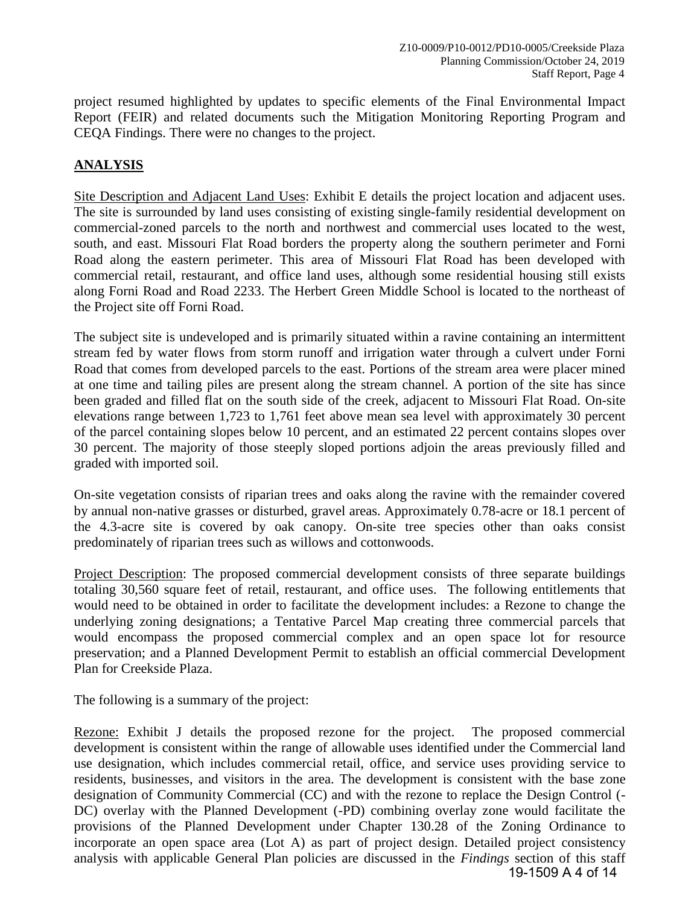project resumed highlighted by updates to specific elements of the Final Environmental Impact Report (FEIR) and related documents such the Mitigation Monitoring Reporting Program and CEQA Findings. There were no changes to the project.

## **ANALYSIS**

Site Description and Adjacent Land Uses: Exhibit E details the project location and adjacent uses. The site is surrounded by land uses consisting of existing single-family residential development on commercial-zoned parcels to the north and northwest and commercial uses located to the west, south, and east. Missouri Flat Road borders the property along the southern perimeter and Forni Road along the eastern perimeter. This area of Missouri Flat Road has been developed with commercial retail, restaurant, and office land uses, although some residential housing still exists along Forni Road and Road 2233. The Herbert Green Middle School is located to the northeast of the Project site off Forni Road.

The subject site is undeveloped and is primarily situated within a ravine containing an intermittent stream fed by water flows from storm runoff and irrigation water through a culvert under Forni Road that comes from developed parcels to the east. Portions of the stream area were placer mined at one time and tailing piles are present along the stream channel. A portion of the site has since been graded and filled flat on the south side of the creek, adjacent to Missouri Flat Road. On-site elevations range between 1,723 to 1,761 feet above mean sea level with approximately 30 percent of the parcel containing slopes below 10 percent, and an estimated 22 percent contains slopes over 30 percent. The majority of those steeply sloped portions adjoin the areas previously filled and graded with imported soil.

On-site vegetation consists of riparian trees and oaks along the ravine with the remainder covered by annual non-native grasses or disturbed, gravel areas. Approximately 0.78-acre or 18.1 percent of the 4.3-acre site is covered by oak canopy. On-site tree species other than oaks consist predominately of riparian trees such as willows and cottonwoods.

Project Description: The proposed commercial development consists of three separate buildings totaling 30,560 square feet of retail, restaurant, and office uses. The following entitlements that would need to be obtained in order to facilitate the development includes: a Rezone to change the underlying zoning designations; a Tentative Parcel Map creating three commercial parcels that would encompass the proposed commercial complex and an open space lot for resource preservation; and a Planned Development Permit to establish an official commercial Development Plan for Creekside Plaza.

The following is a summary of the project:

Rezone: Exhibit J details the proposed rezone for the project. The proposed commercial development is consistent within the range of allowable uses identified under the Commercial land use designation, which includes commercial retail, office, and service uses providing service to residents, businesses, and visitors in the area. The development is consistent with the base zone designation of Community Commercial (CC) and with the rezone to replace the Design Control (- DC) overlay with the Planned Development (-PD) combining overlay zone would facilitate the provisions of the Planned Development under Chapter 130.28 of the Zoning Ordinance to incorporate an open space area (Lot A) as part of project design. Detailed project consistency analysis with applicable General Plan policies are discussed in the *Findings* section of this staff 19-1509 A 4 of 14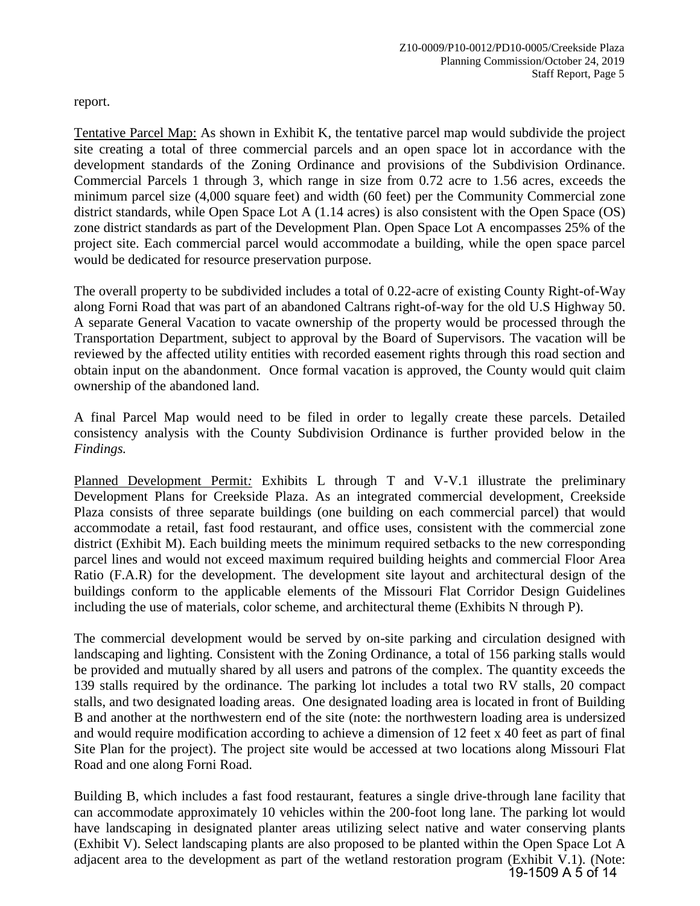report.

Tentative Parcel Map: As shown in Exhibit K, the tentative parcel map would subdivide the project site creating a total of three commercial parcels and an open space lot in accordance with the development standards of the Zoning Ordinance and provisions of the Subdivision Ordinance. Commercial Parcels 1 through 3, which range in size from 0.72 acre to 1.56 acres, exceeds the minimum parcel size (4,000 square feet) and width (60 feet) per the Community Commercial zone district standards, while Open Space Lot A (1.14 acres) is also consistent with the Open Space (OS) zone district standards as part of the Development Plan. Open Space Lot A encompasses 25% of the project site. Each commercial parcel would accommodate a building, while the open space parcel would be dedicated for resource preservation purpose.

The overall property to be subdivided includes a total of 0.22-acre of existing County Right-of-Way along Forni Road that was part of an abandoned Caltrans right-of-way for the old U.S Highway 50. A separate General Vacation to vacate ownership of the property would be processed through the Transportation Department, subject to approval by the Board of Supervisors. The vacation will be reviewed by the affected utility entities with recorded easement rights through this road section and obtain input on the abandonment. Once formal vacation is approved, the County would quit claim ownership of the abandoned land.

A final Parcel Map would need to be filed in order to legally create these parcels. Detailed consistency analysis with the County Subdivision Ordinance is further provided below in the *Findings.*

Planned Development Permit*:* Exhibits L through T and V-V.1 illustrate the preliminary Development Plans for Creekside Plaza. As an integrated commercial development, Creekside Plaza consists of three separate buildings (one building on each commercial parcel) that would accommodate a retail, fast food restaurant, and office uses, consistent with the commercial zone district (Exhibit M). Each building meets the minimum required setbacks to the new corresponding parcel lines and would not exceed maximum required building heights and commercial Floor Area Ratio (F.A.R) for the development. The development site layout and architectural design of the buildings conform to the applicable elements of the Missouri Flat Corridor Design Guidelines including the use of materials, color scheme, and architectural theme (Exhibits N through P).

The commercial development would be served by on-site parking and circulation designed with landscaping and lighting. Consistent with the Zoning Ordinance, a total of 156 parking stalls would be provided and mutually shared by all users and patrons of the complex. The quantity exceeds the 139 stalls required by the ordinance. The parking lot includes a total two RV stalls, 20 compact stalls, and two designated loading areas. One designated loading area is located in front of Building B and another at the northwestern end of the site (note: the northwestern loading area is undersized and would require modification according to achieve a dimension of 12 feet x 40 feet as part of final Site Plan for the project). The project site would be accessed at two locations along Missouri Flat Road and one along Forni Road.

Building B, which includes a fast food restaurant, features a single drive-through lane facility that can accommodate approximately 10 vehicles within the 200-foot long lane. The parking lot would have landscaping in designated planter areas utilizing select native and water conserving plants (Exhibit V). Select landscaping plants are also proposed to be planted within the Open Space Lot A adjacent area to the development as part of the wetland restoration program (Exhibit V.1). (Note: 19-1509 A 5 of 14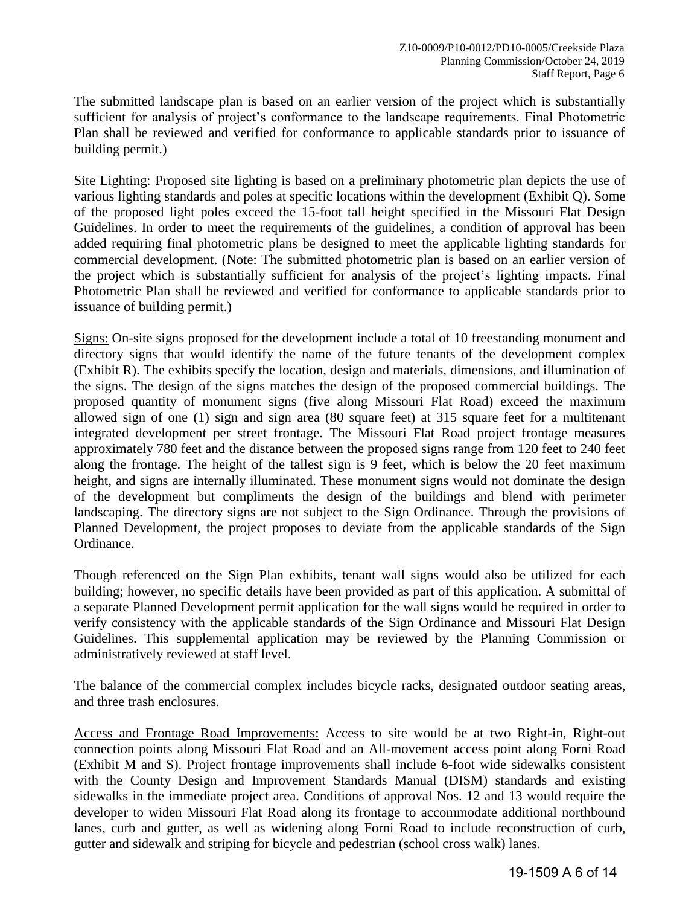The submitted landscape plan is based on an earlier version of the project which is substantially sufficient for analysis of project's conformance to the landscape requirements. Final Photometric Plan shall be reviewed and verified for conformance to applicable standards prior to issuance of building permit.)

Site Lighting: Proposed site lighting is based on a preliminary photometric plan depicts the use of various lighting standards and poles at specific locations within the development (Exhibit Q). Some of the proposed light poles exceed the 15-foot tall height specified in the Missouri Flat Design Guidelines. In order to meet the requirements of the guidelines, a condition of approval has been added requiring final photometric plans be designed to meet the applicable lighting standards for commercial development. (Note: The submitted photometric plan is based on an earlier version of the project which is substantially sufficient for analysis of the project's lighting impacts. Final Photometric Plan shall be reviewed and verified for conformance to applicable standards prior to issuance of building permit.)

Signs: On-site signs proposed for the development include a total of 10 freestanding monument and directory signs that would identify the name of the future tenants of the development complex (Exhibit R). The exhibits specify the location, design and materials, dimensions, and illumination of the signs. The design of the signs matches the design of the proposed commercial buildings. The proposed quantity of monument signs (five along Missouri Flat Road) exceed the maximum allowed sign of one (1) sign and sign area (80 square feet) at 315 square feet for a multitenant integrated development per street frontage. The Missouri Flat Road project frontage measures approximately 780 feet and the distance between the proposed signs range from 120 feet to 240 feet along the frontage. The height of the tallest sign is 9 feet, which is below the 20 feet maximum height, and signs are internally illuminated. These monument signs would not dominate the design of the development but compliments the design of the buildings and blend with perimeter landscaping. The directory signs are not subject to the Sign Ordinance. Through the provisions of Planned Development, the project proposes to deviate from the applicable standards of the Sign Ordinance.

Though referenced on the Sign Plan exhibits, tenant wall signs would also be utilized for each building; however, no specific details have been provided as part of this application. A submittal of a separate Planned Development permit application for the wall signs would be required in order to verify consistency with the applicable standards of the Sign Ordinance and Missouri Flat Design Guidelines. This supplemental application may be reviewed by the Planning Commission or administratively reviewed at staff level.

The balance of the commercial complex includes bicycle racks, designated outdoor seating areas, and three trash enclosures.

Access and Frontage Road Improvements: Access to site would be at two Right-in, Right-out connection points along Missouri Flat Road and an All-movement access point along Forni Road (Exhibit M and S). Project frontage improvements shall include 6-foot wide sidewalks consistent with the County Design and Improvement Standards Manual (DISM) standards and existing sidewalks in the immediate project area. Conditions of approval Nos. 12 and 13 would require the developer to widen Missouri Flat Road along its frontage to accommodate additional northbound lanes, curb and gutter, as well as widening along Forni Road to include reconstruction of curb, gutter and sidewalk and striping for bicycle and pedestrian (school cross walk) lanes.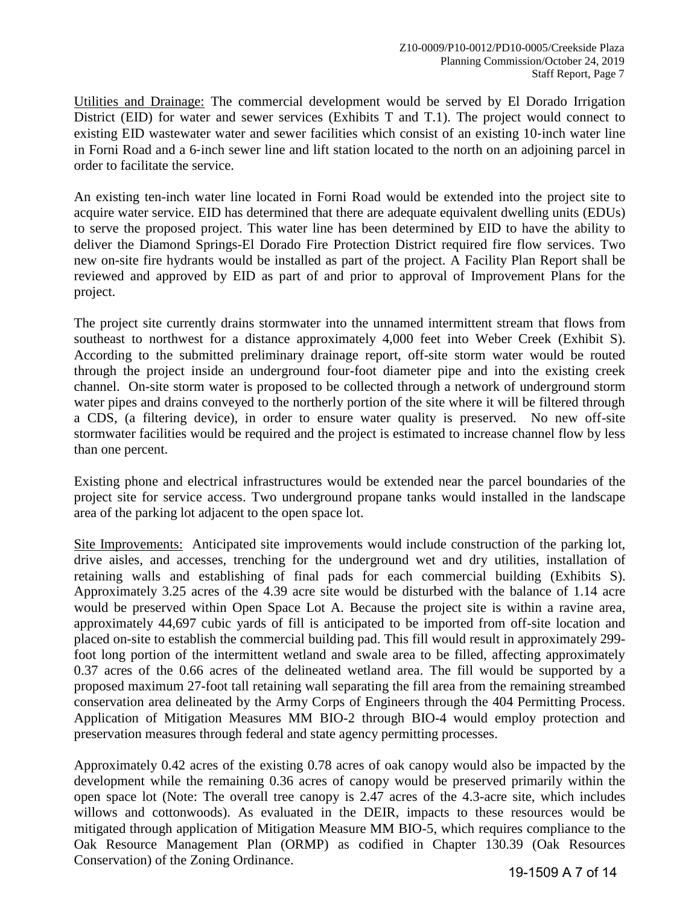Utilities and Drainage: The commercial development would be served by El Dorado Irrigation District (EID) for water and sewer services (Exhibits T and T.1). The project would connect to existing EID wastewater water and sewer facilities which consist of an existing 10‐inch water line in Forni Road and a 6‐inch sewer line and lift station located to the north on an adjoining parcel in order to facilitate the service.

An existing ten-inch water line located in Forni Road would be extended into the project site to acquire water service. EID has determined that there are adequate equivalent dwelling units (EDUs) to serve the proposed project. This water line has been determined by EID to have the ability to deliver the Diamond Springs-El Dorado Fire Protection District required fire flow services. Two new on-site fire hydrants would be installed as part of the project. A Facility Plan Report shall be reviewed and approved by EID as part of and prior to approval of Improvement Plans for the project.

The project site currently drains stormwater into the unnamed intermittent stream that flows from southeast to northwest for a distance approximately 4,000 feet into Weber Creek (Exhibit S). According to the submitted preliminary drainage report, off-site storm water would be routed through the project inside an underground four-foot diameter pipe and into the existing creek channel. On-site storm water is proposed to be collected through a network of underground storm water pipes and drains conveyed to the northerly portion of the site where it will be filtered through a CDS, (a filtering device), in order to ensure water quality is preserved. No new off-site stormwater facilities would be required and the project is estimated to increase channel flow by less than one percent.

Existing phone and electrical infrastructures would be extended near the parcel boundaries of the project site for service access. Two underground propane tanks would installed in the landscape area of the parking lot adjacent to the open space lot.

Site Improvements: Anticipated site improvements would include construction of the parking lot, drive aisles, and accesses, trenching for the underground wet and dry utilities, installation of retaining walls and establishing of final pads for each commercial building (Exhibits S). Approximately 3.25 acres of the 4.39 acre site would be disturbed with the balance of 1.14 acre would be preserved within Open Space Lot A. Because the project site is within a ravine area, approximately 44,697 cubic yards of fill is anticipated to be imported from off-site location and placed on-site to establish the commercial building pad. This fill would result in approximately 299 foot long portion of the intermittent wetland and swale area to be filled, affecting approximately 0.37 acres of the 0.66 acres of the delineated wetland area. The fill would be supported by a proposed maximum 27-foot tall retaining wall separating the fill area from the remaining streambed conservation area delineated by the Army Corps of Engineers through the 404 Permitting Process. Application of Mitigation Measures MM BIO-2 through BIO-4 would employ protection and preservation measures through federal and state agency permitting processes.

Approximately 0.42 acres of the existing 0.78 acres of oak canopy would also be impacted by the development while the remaining 0.36 acres of canopy would be preserved primarily within the open space lot (Note: The overall tree canopy is 2.47 acres of the 4.3-acre site, which includes willows and cottonwoods). As evaluated in the DEIR, impacts to these resources would be mitigated through application of Mitigation Measure MM BIO-5, which requires compliance to the Oak Resource Management Plan (ORMP) as codified in Chapter 130.39 (Oak Resources Conservation) of the Zoning Ordinance.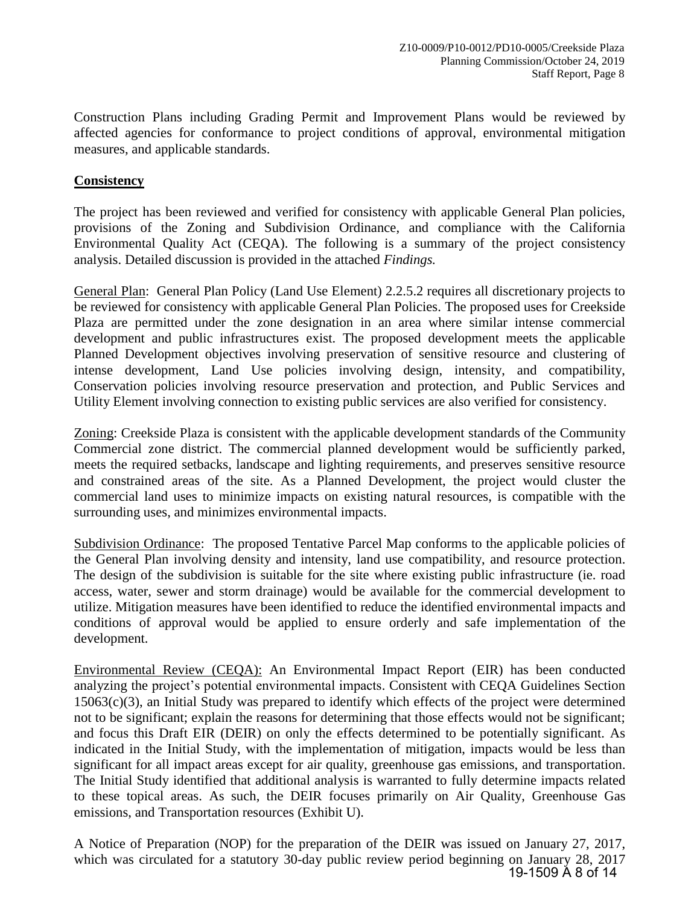Construction Plans including Grading Permit and Improvement Plans would be reviewed by affected agencies for conformance to project conditions of approval, environmental mitigation measures, and applicable standards.

## **Consistency**

The project has been reviewed and verified for consistency with applicable General Plan policies, provisions of the Zoning and Subdivision Ordinance, and compliance with the California Environmental Quality Act (CEQA). The following is a summary of the project consistency analysis. Detailed discussion is provided in the attached *Findings.*

General Plan: General Plan Policy (Land Use Element) 2.2.5.2 requires all discretionary projects to be reviewed for consistency with applicable General Plan Policies. The proposed uses for Creekside Plaza are permitted under the zone designation in an area where similar intense commercial development and public infrastructures exist. The proposed development meets the applicable Planned Development objectives involving preservation of sensitive resource and clustering of intense development, Land Use policies involving design, intensity, and compatibility, Conservation policies involving resource preservation and protection, and Public Services and Utility Element involving connection to existing public services are also verified for consistency.

Zoning: Creekside Plaza is consistent with the applicable development standards of the Community Commercial zone district. The commercial planned development would be sufficiently parked, meets the required setbacks, landscape and lighting requirements, and preserves sensitive resource and constrained areas of the site. As a Planned Development, the project would cluster the commercial land uses to minimize impacts on existing natural resources, is compatible with the surrounding uses, and minimizes environmental impacts.

Subdivision Ordinance: The proposed Tentative Parcel Map conforms to the applicable policies of the General Plan involving density and intensity, land use compatibility, and resource protection. The design of the subdivision is suitable for the site where existing public infrastructure (ie. road access, water, sewer and storm drainage) would be available for the commercial development to utilize. Mitigation measures have been identified to reduce the identified environmental impacts and conditions of approval would be applied to ensure orderly and safe implementation of the development.

Environmental Review (CEQA): An Environmental Impact Report (EIR) has been conducted analyzing the project's potential environmental impacts. Consistent with CEQA Guidelines Section 15063(c)(3), an Initial Study was prepared to identify which effects of the project were determined not to be significant; explain the reasons for determining that those effects would not be significant; and focus this Draft EIR (DEIR) on only the effects determined to be potentially significant. As indicated in the Initial Study, with the implementation of mitigation, impacts would be less than significant for all impact areas except for air quality, greenhouse gas emissions, and transportation. The Initial Study identified that additional analysis is warranted to fully determine impacts related to these topical areas. As such, the DEIR focuses primarily on Air Quality, Greenhouse Gas emissions, and Transportation resources (Exhibit U).

A Notice of Preparation (NOP) for the preparation of the DEIR was issued on January 27, 2017, which was circulated for a statutory 30-day public review period beginning on January 28, 2017 19-1509 A 8 of 14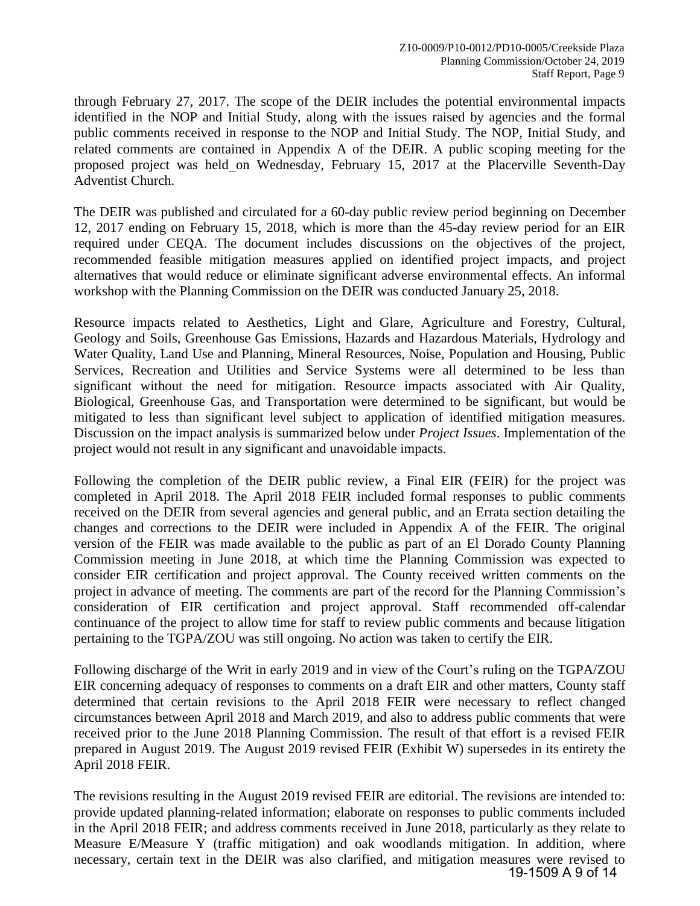through February 27, 2017. The scope of the DEIR includes the potential environmental impacts identified in the NOP and Initial Study, along with the issues raised by agencies and the formal public comments received in response to the NOP and Initial Study. The NOP, Initial Study, and related comments are contained in Appendix A of the DEIR. A public scoping meeting for the proposed project was held on Wednesday, February 15, 2017 at the Placerville Seventh-Day Adventist Church.

The DEIR was published and circulated for a 60-day public review period beginning on December 12, 2017 ending on February 15, 2018, which is more than the 45-day review period for an EIR required under CEQA. The document includes discussions on the objectives of the project, recommended feasible mitigation measures applied on identified project impacts, and project alternatives that would reduce or eliminate significant adverse environmental effects. An informal workshop with the Planning Commission on the DEIR was conducted January 25, 2018.

Resource impacts related to Aesthetics, Light and Glare, Agriculture and Forestry, Cultural, Geology and Soils, Greenhouse Gas Emissions, Hazards and Hazardous Materials, Hydrology and Water Quality, Land Use and Planning, Mineral Resources, Noise, Population and Housing, Public Services, Recreation and Utilities and Service Systems were all determined to be less than significant without the need for mitigation. Resource impacts associated with Air Quality, Biological, Greenhouse Gas, and Transportation were determined to be significant, but would be mitigated to less than significant level subject to application of identified mitigation measures. Discussion on the impact analysis is summarized below under *Project Issues*. Implementation of the project would not result in any significant and unavoidable impacts.

Following the completion of the DEIR public review, a Final EIR (FEIR) for the project was completed in April 2018. The April 2018 FEIR included formal responses to public comments received on the DEIR from several agencies and general public, and an Errata section detailing the changes and corrections to the DEIR were included in Appendix A of the FEIR. The original version of the FEIR was made available to the public as part of an El Dorado County Planning Commission meeting in June 2018, at which time the Planning Commission was expected to consider EIR certification and project approval. The County received written comments on the project in advance of meeting. The comments are part of the record for the Planning Commission's consideration of EIR certification and project approval. Staff recommended off-calendar continuance of the project to allow time for staff to review public comments and because litigation pertaining to the TGPA/ZOU was still ongoing. No action was taken to certify the EIR.

Following discharge of the Writ in early 2019 and in view of the Court's ruling on the TGPA/ZOU EIR concerning adequacy of responses to comments on a draft EIR and other matters, County staff determined that certain revisions to the April 2018 FEIR were necessary to reflect changed circumstances between April 2018 and March 2019, and also to address public comments that were received prior to the June 2018 Planning Commission. The result of that effort is a revised FEIR prepared in August 2019. The August 2019 revised FEIR (Exhibit W) supersedes in its entirety the April 2018 FEIR.

The revisions resulting in the August 2019 revised FEIR are editorial. The revisions are intended to: provide updated planning-related information; elaborate on responses to public comments included in the April 2018 FEIR; and address comments received in June 2018, particularly as they relate to Measure E/Measure Y (traffic mitigation) and oak woodlands mitigation. In addition, where necessary, certain text in the DEIR was also clarified, and mitigation measures were revised to 19-1509 A 9 of 14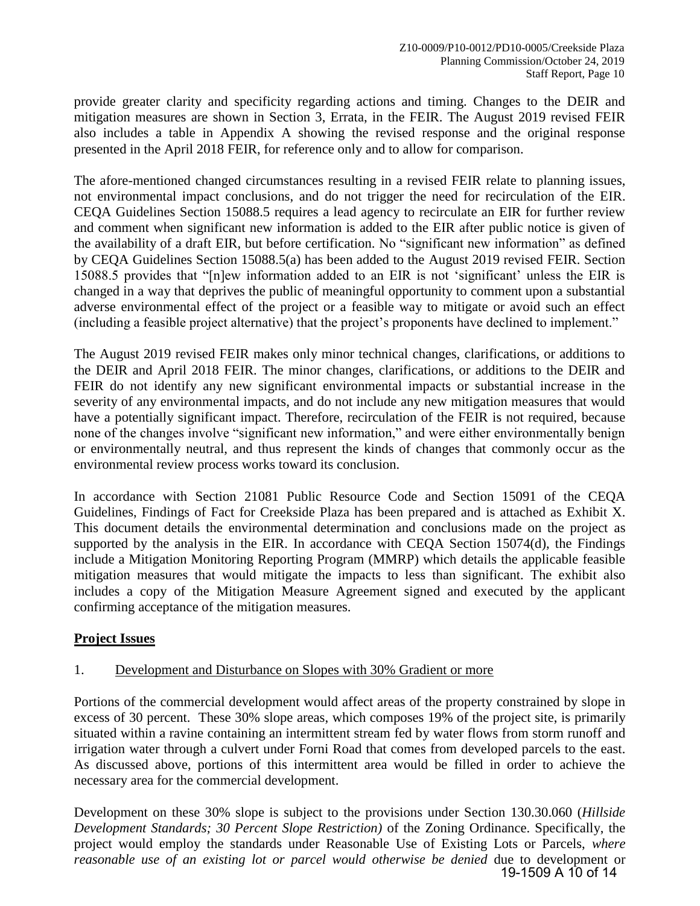provide greater clarity and specificity regarding actions and timing. Changes to the DEIR and mitigation measures are shown in Section 3, Errata, in the FEIR. The August 2019 revised FEIR also includes a table in Appendix A showing the revised response and the original response presented in the April 2018 FEIR, for reference only and to allow for comparison.

The afore-mentioned changed circumstances resulting in a revised FEIR relate to planning issues, not environmental impact conclusions, and do not trigger the need for recirculation of the EIR. CEQA Guidelines Section 15088.5 requires a lead agency to recirculate an EIR for further review and comment when significant new information is added to the EIR after public notice is given of the availability of a draft EIR, but before certification. No "significant new information" as defined by CEQA Guidelines Section 15088.5(a) has been added to the August 2019 revised FEIR. Section 15088.5 provides that "[n]ew information added to an EIR is not 'significant' unless the EIR is changed in a way that deprives the public of meaningful opportunity to comment upon a substantial adverse environmental effect of the project or a feasible way to mitigate or avoid such an effect (including a feasible project alternative) that the project's proponents have declined to implement."

The August 2019 revised FEIR makes only minor technical changes, clarifications, or additions to the DEIR and April 2018 FEIR. The minor changes, clarifications, or additions to the DEIR and FEIR do not identify any new significant environmental impacts or substantial increase in the severity of any environmental impacts, and do not include any new mitigation measures that would have a potentially significant impact. Therefore, recirculation of the FEIR is not required, because none of the changes involve "significant new information," and were either environmentally benign or environmentally neutral, and thus represent the kinds of changes that commonly occur as the environmental review process works toward its conclusion.

In accordance with Section 21081 Public Resource Code and Section 15091 of the CEQA Guidelines, Findings of Fact for Creekside Plaza has been prepared and is attached as Exhibit X. This document details the environmental determination and conclusions made on the project as supported by the analysis in the EIR. In accordance with CEQA Section 15074(d), the Findings include a Mitigation Monitoring Reporting Program (MMRP) which details the applicable feasible mitigation measures that would mitigate the impacts to less than significant. The exhibit also includes a copy of the Mitigation Measure Agreement signed and executed by the applicant confirming acceptance of the mitigation measures.

## **Project Issues**

## 1. Development and Disturbance on Slopes with 30% Gradient or more

Portions of the commercial development would affect areas of the property constrained by slope in excess of 30 percent. These 30% slope areas, which composes 19% of the project site, is primarily situated within a ravine containing an intermittent stream fed by water flows from storm runoff and irrigation water through a culvert under Forni Road that comes from developed parcels to the east. As discussed above, portions of this intermittent area would be filled in order to achieve the necessary area for the commercial development.

Development on these 30% slope is subject to the provisions under Section 130.30.060 (*Hillside Development Standards; 30 Percent Slope Restriction)* of the Zoning Ordinance. Specifically, the project would employ the standards under Reasonable Use of Existing Lots or Parcels, *where reasonable use of an existing lot or parcel would otherwise be denied* due to development or 19-1509 A 10 of 14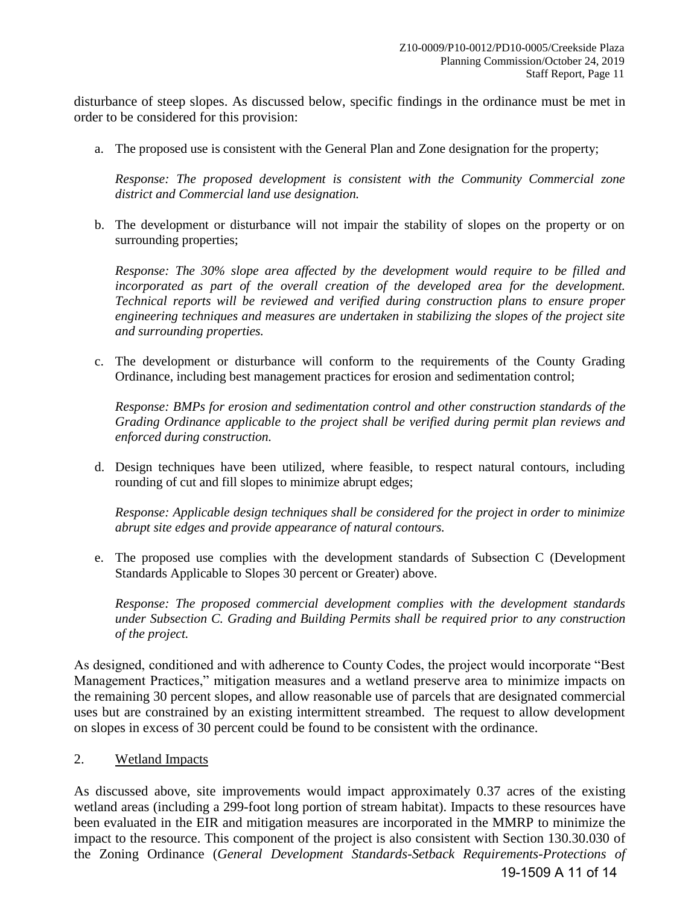disturbance of steep slopes. As discussed below, specific findings in the ordinance must be met in order to be considered for this provision:

a. The proposed use is consistent with the General Plan and Zone designation for the property;

*Response: The proposed development is consistent with the Community Commercial zone district and Commercial land use designation.* 

b. The development or disturbance will not impair the stability of slopes on the property or on surrounding properties;

*Response: The 30% slope area affected by the development would require to be filled and incorporated as part of the overall creation of the developed area for the development. Technical reports will be reviewed and verified during construction plans to ensure proper engineering techniques and measures are undertaken in stabilizing the slopes of the project site and surrounding properties.* 

c. The development or disturbance will conform to the requirements of the County Grading Ordinance, including best management practices for erosion and sedimentation control;

*Response: BMPs for erosion and sedimentation control and other construction standards of the Grading Ordinance applicable to the project shall be verified during permit plan reviews and enforced during construction.* 

d. Design techniques have been utilized, where feasible, to respect natural contours, including rounding of cut and fill slopes to minimize abrupt edges;

*Response: Applicable design techniques shall be considered for the project in order to minimize abrupt site edges and provide appearance of natural contours.* 

e. The proposed use complies with the development standards of Subsection C (Development Standards Applicable to Slopes 30 percent or Greater) above.

*Response: The proposed commercial development complies with the development standards under Subsection C. Grading and Building Permits shall be required prior to any construction of the project.* 

As designed, conditioned and with adherence to County Codes, the project would incorporate "Best Management Practices," mitigation measures and a wetland preserve area to minimize impacts on the remaining 30 percent slopes, and allow reasonable use of parcels that are designated commercial uses but are constrained by an existing intermittent streambed. The request to allow development on slopes in excess of 30 percent could be found to be consistent with the ordinance.

2. Wetland Impacts

As discussed above, site improvements would impact approximately 0.37 acres of the existing wetland areas (including a 299-foot long portion of stream habitat). Impacts to these resources have been evaluated in the EIR and mitigation measures are incorporated in the MMRP to minimize the impact to the resource. This component of the project is also consistent with Section 130.30.030 of the Zoning Ordinance (*General Development Standards-Setback Requirements-Protections of* 

19-1509 A 11 of 14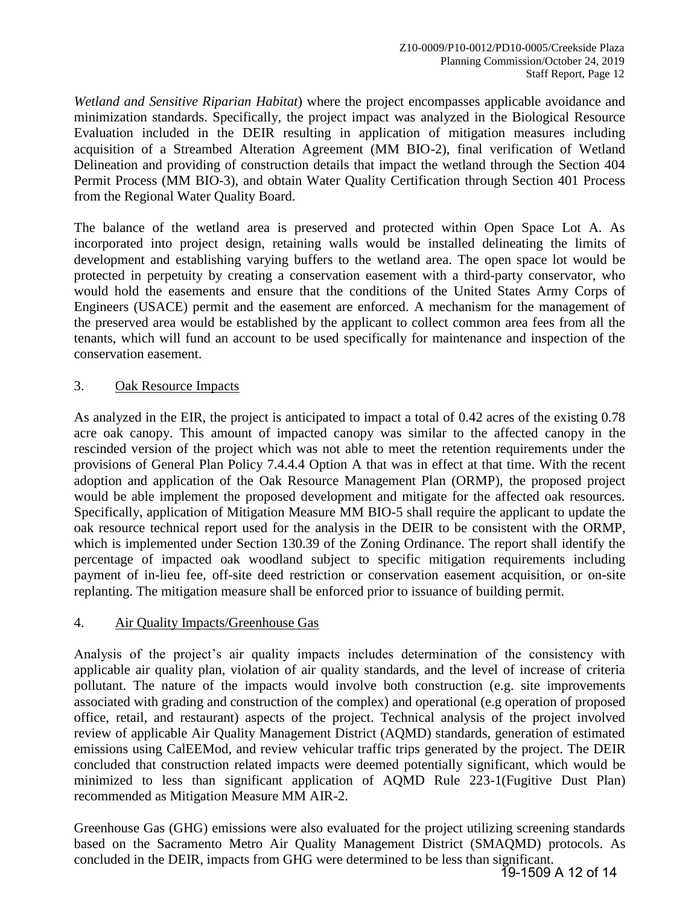*Wetland and Sensitive Riparian Habitat*) where the project encompasses applicable avoidance and minimization standards. Specifically, the project impact was analyzed in the Biological Resource Evaluation included in the DEIR resulting in application of mitigation measures including acquisition of a Streambed Alteration Agreement (MM BIO-2), final verification of Wetland Delineation and providing of construction details that impact the wetland through the Section 404 Permit Process (MM BIO-3), and obtain Water Quality Certification through Section 401 Process from the Regional Water Quality Board.

The balance of the wetland area is preserved and protected within Open Space Lot A. As incorporated into project design, retaining walls would be installed delineating the limits of development and establishing varying buffers to the wetland area. The open space lot would be protected in perpetuity by creating a conservation easement with a third-party conservator, who would hold the easements and ensure that the conditions of the United States Army Corps of Engineers (USACE) permit and the easement are enforced. A mechanism for the management of the preserved area would be established by the applicant to collect common area fees from all the tenants, which will fund an account to be used specifically for maintenance and inspection of the conservation easement.

## 3. Oak Resource Impacts

As analyzed in the EIR, the project is anticipated to impact a total of 0.42 acres of the existing 0.78 acre oak canopy. This amount of impacted canopy was similar to the affected canopy in the rescinded version of the project which was not able to meet the retention requirements under the provisions of General Plan Policy 7.4.4.4 Option A that was in effect at that time. With the recent adoption and application of the Oak Resource Management Plan (ORMP), the proposed project would be able implement the proposed development and mitigate for the affected oak resources. Specifically, application of Mitigation Measure MM BIO-5 shall require the applicant to update the oak resource technical report used for the analysis in the DEIR to be consistent with the ORMP, which is implemented under Section 130.39 of the Zoning Ordinance. The report shall identify the percentage of impacted oak woodland subject to specific mitigation requirements including payment of in-lieu fee, off-site deed restriction or conservation easement acquisition, or on-site replanting. The mitigation measure shall be enforced prior to issuance of building permit.

## 4. Air Quality Impacts/Greenhouse Gas

Analysis of the project's air quality impacts includes determination of the consistency with applicable air quality plan, violation of air quality standards, and the level of increase of criteria pollutant. The nature of the impacts would involve both construction (e.g. site improvements associated with grading and construction of the complex) and operational (e.g operation of proposed office, retail, and restaurant) aspects of the project. Technical analysis of the project involved review of applicable Air Quality Management District (AQMD) standards, generation of estimated emissions using CalEEMod, and review vehicular traffic trips generated by the project. The DEIR concluded that construction related impacts were deemed potentially significant, which would be minimized to less than significant application of AQMD Rule 223-1(Fugitive Dust Plan) recommended as Mitigation Measure MM AIR-2.

Greenhouse Gas (GHG) emissions were also evaluated for the project utilizing screening standards based on the Sacramento Metro Air Quality Management District (SMAQMD) protocols. As concluded in the DEIR, impacts from GHG were determined to be less than significant.

19-1509 A 12 of 14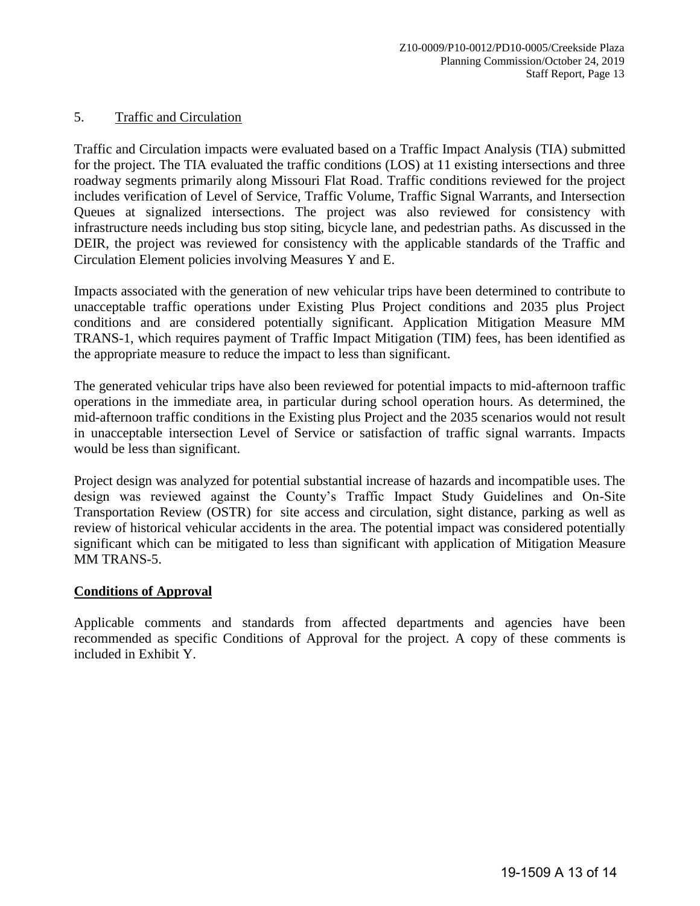## 5. Traffic and Circulation

Traffic and Circulation impacts were evaluated based on a Traffic Impact Analysis (TIA) submitted for the project. The TIA evaluated the traffic conditions (LOS) at 11 existing intersections and three roadway segments primarily along Missouri Flat Road. Traffic conditions reviewed for the project includes verification of Level of Service, Traffic Volume, Traffic Signal Warrants, and Intersection Queues at signalized intersections. The project was also reviewed for consistency with infrastructure needs including bus stop siting, bicycle lane, and pedestrian paths. As discussed in the DEIR, the project was reviewed for consistency with the applicable standards of the Traffic and Circulation Element policies involving Measures Y and E.

Impacts associated with the generation of new vehicular trips have been determined to contribute to unacceptable traffic operations under Existing Plus Project conditions and 2035 plus Project conditions and are considered potentially significant. Application Mitigation Measure MM TRANS-1, which requires payment of Traffic Impact Mitigation (TIM) fees, has been identified as the appropriate measure to reduce the impact to less than significant.

The generated vehicular trips have also been reviewed for potential impacts to mid-afternoon traffic operations in the immediate area, in particular during school operation hours. As determined, the mid-afternoon traffic conditions in the Existing plus Project and the 2035 scenarios would not result in unacceptable intersection Level of Service or satisfaction of traffic signal warrants. Impacts would be less than significant.

Project design was analyzed for potential substantial increase of hazards and incompatible uses. The design was reviewed against the County's Traffic Impact Study Guidelines and On-Site Transportation Review (OSTR) for site access and circulation, sight distance, parking as well as review of historical vehicular accidents in the area. The potential impact was considered potentially significant which can be mitigated to less than significant with application of Mitigation Measure MM TRANS-5.

#### **Conditions of Approval**

Applicable comments and standards from affected departments and agencies have been recommended as specific Conditions of Approval for the project. A copy of these comments is included in Exhibit Y.